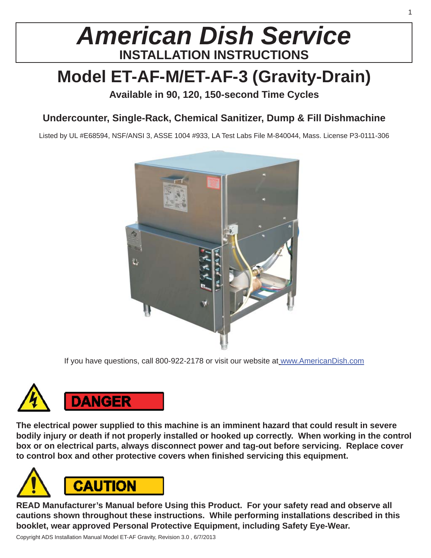# *American Dish Service* **INSTALLATION INSTRUCTIONS**

# **Model ET-AF-M/ET-AF-3 (Gravity-Drain)**

**Available in 90, 120, 150-second Time Cycles**

## **Undercounter, Single-Rack, Chemical Sanitizer, Dump & Fill Dishmachine**

Listed by UL #E68594, NSF/ANSI 3, ASSE 1004 #933, LA Test Labs File M-840044, Mass. License P3-0111-306



If you have questions, call 800-922-2178 or visit our website at www.AmericanDish.com



**The electrical power supplied to this machine is an imminent hazard that could result in severe bodily injury or death if not properly installed or hooked up correctly. When working in the control box or on electrical parts, always disconnect power and tag-out before servicing. Replace cover**  to control box and other protective covers when finished servicing this equipment.



**READ Manufacturer's Manual before Using this Product. For your safety read and observe all cautions shown throughout these instructions. While performing installations described in this booklet, wear approved Personal Protective Equipment, including Safety Eye-Wear.**

Copyright ADS Installation Manual Model ET-AF Gravity, Revision 3.0 , 6/7/2013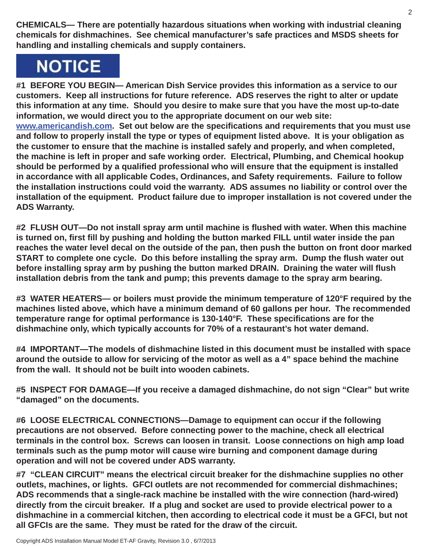**CHEMICALS— There are potentially hazardous situations when working with industrial cleaning chemicals for dishmachines. See chemical manufacturer's safe practices and MSDS sheets for handling and installing chemicals and supply containers.**

# **NOTICE**

**#1 BEFORE YOU BEGIN— American Dish Service provides this information as a service to our customers. Keep all instructions for future reference. ADS reserves the right to alter or update this information at any time. Should you desire to make sure that you have the most up-to-date information, we would direct you to the appropriate document on our web site: www.americandish.com.** Set out below are the specifications and requirements that you must use **and follow to properly install the type or types of equipment listed above. It is your obligation as the customer to ensure that the machine is installed safely and properly, and when completed, the machine is left in proper and safe working order. Electrical, Plumbing, and Chemical hookup**  should be performed by a qualified professional who will ensure that the equipment is installed **in accordance with all applicable Codes, Ordinances, and Safety requirements. Failure to follow the installation instructions could void the warranty. ADS assumes no liability or control over the installation of the equipment. Product failure due to improper installation is not covered under the ADS Warranty.**

**#2 FLUSH OUT—Do not install spray arm until machine is fl ushed with water. When this machine is turned on, first fill by pushing and holding the button marked FILL until water inside the pan reaches the water level decal on the outside of the pan, then push the button on front door marked START to complete one cycle. Do this before installing the spray arm. Dump the fl ush water out before installing spray arm by pushing the button marked DRAIN. Draining the water will fl ush installation debris from the tank and pump; this prevents damage to the spray arm bearing.**

**#3 WATER HEATERS— or boilers must provide the minimum temperature of 120°F required by the machines listed above, which have a minimum demand of 60 gallons per hour. The recommended temperature range for optimal performance is 130-140°F. These specifi cations are for the dishmachine only, which typically accounts for 70% of a restaurant's hot water demand.**

**#4 IMPORTANT—The models of dishmachine listed in this document must be installed with space around the outside to allow for servicing of the motor as well as a 4" space behind the machine from the wall. It should not be built into wooden cabinets.**

**#5 INSPECT FOR DAMAGE—If you receive a damaged dishmachine, do not sign "Clear" but write "damaged" on the documents.**

**#6 LOOSE ELECTRICAL CONNECTIONS—Damage to equipment can occur if the following precautions are not observed. Before connecting power to the machine, check all electrical terminals in the control box. Screws can loosen in transit. Loose connections on high amp load terminals such as the pump motor will cause wire burning and component damage during operation and will not be covered under ADS warranty.**

**#7 "CLEAN CIRCUIT" means the electrical circuit breaker for the dishmachine supplies no other outlets, machines, or lights. GFCI outlets are not recommended for commercial dishmachines; ADS recommends that a single-rack machine be installed with the wire connection (hard-wired) directly from the circuit breaker. If a plug and socket are used to provide electrical power to a dishmachine in a commercial kitchen, then according to electrical code it must be a GFCI, but not all GFCIs are the same. They must be rated for the draw of the circuit.**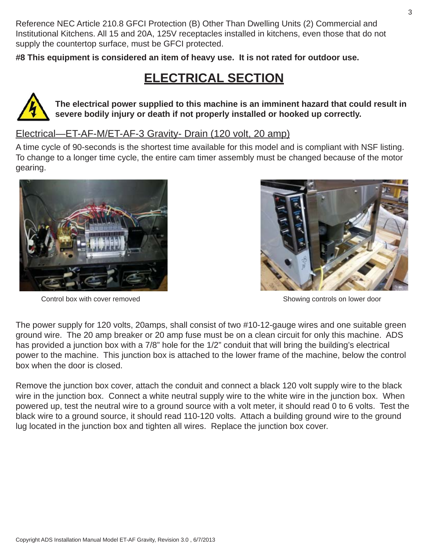Reference NEC Article 210.8 GFCI Protection (B) Other Than Dwelling Units (2) Commercial and Institutional Kitchens. All 15 and 20A, 125V receptacles installed in kitchens, even those that do not supply the countertop surface, must be GFCI protected.

**#8 This equipment is considered an item of heavy use. It is not rated for outdoor use.**

## **ELECTRICAL SECTION**



**The electrical power supplied to this machine is an imminent hazard that could result in severe bodily injury or death if not properly installed or hooked up correctly.**

### Electrical—ET-AF-M/ET-AF-3 Gravity- Drain (120 volt, 20 amp)

A time cycle of 90-seconds is the shortest time available for this model and is compliant with NSF listing. To change to a longer time cycle, the entire cam timer assembly must be changed because of the motor gearing.



Control box with cover removed example of the state of the Showing controls on lower door



The power supply for 120 volts, 20amps, shall consist of two #10-12-gauge wires and one suitable green ground wire. The 20 amp breaker or 20 amp fuse must be on a clean circuit for only this machine. ADS has provided a junction box with a 7/8" hole for the 1/2" conduit that will bring the building's electrical power to the machine. This junction box is attached to the lower frame of the machine, below the control box when the door is closed.

Remove the junction box cover, attach the conduit and connect a black 120 volt supply wire to the black wire in the junction box. Connect a white neutral supply wire to the white wire in the junction box. When powered up, test the neutral wire to a ground source with a volt meter, it should read 0 to 6 volts. Test the black wire to a ground source, it should read 110-120 volts. Attach a building ground wire to the ground lug located in the junction box and tighten all wires. Replace the junction box cover.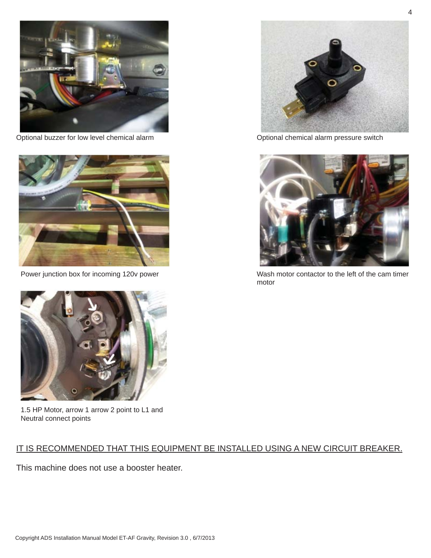

Optional buzzer for low level chemical alarm **Optional chemical alarm pressure switch** Optional chemical alarm pressure switch





1.5 HP Motor, arrow 1 arrow 2 point to L1 and Neutral connect points

### IT IS RECOMMENDED THAT THIS EQUIPMENT BE INSTALLED USING A NEW CIRCUIT BREAKER.

This machine does not use a booster heater.





Power junction box for incoming 120v power Wash motor contactor to the left of the cam timer motor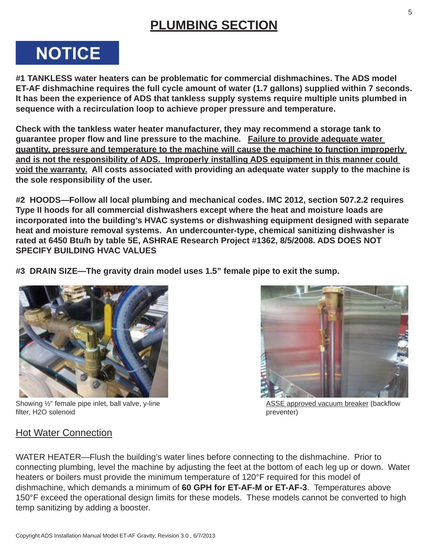## **PLUMBING SECTION**

# **NOTICE**

**#1 TANKLESS water heaters can be problematic for commercial dishmachines. The ADS model ET-AF dishmachine requires the full cycle amount of water (1.7 gallons) supplied within 7 seconds. It has been the experience of ADS that tankless supply systems require multiple units plumbed in sequence with a recirculation loop to achieve proper pressure and temperature.**

**Check with the tankless water heater manufacturer, they may recommend a storage tank to guarantee proper fl ow and line pressure to the machine. Failure to provide adequate water quantity, pressure and temperature to the machine will cause the machine to function improperly and is not the responsibility of ADS. Improperly installing ADS equipment in this manner could void the warranty. All costs associated with providing an adequate water supply to the machine is the sole responsibility of the user.**

**#2 HOODS—Follow all local plumbing and mechanical codes. IMC 2012, section 507.2.2 requires Type II hoods for all commercial dishwashers except where the heat and moisture loads are incorporated into the building's HVAC systems or dishwashing equipment designed with separate heat and moisture removal systems. An undercounter-type, chemical sanitizing dishwasher is rated at 6450 Btu/h by table 5E, ASHRAE Research Project #1362, 8/5/2008. ADS DOES NOT SPECIFY BUILDING HVAC VALUES**

**#3 DRAIN SIZE—The gravity drain model uses 1.5" female pipe to exit the sump.**



Showing ½" female pipe inlet, ball valve, y-line filter, H2O solenoid



ASSE approved vacuum breaker (backflow preventer)

### Hot Water Connection

WATER HEATER—Flush the building's water lines before connecting to the dishmachine. Prior to connecting plumbing, level the machine by adjusting the feet at the bottom of each leg up or down. Water heaters or boilers must provide the minimum temperature of 120°F required for this model of dishmachine, which demands a minimum of **60 GPH for ET-AF-M or ET-AF-3**. Temperatures above 150°F exceed the operational design limits for these models. These models cannot be converted to high temp sanitizing by adding a booster.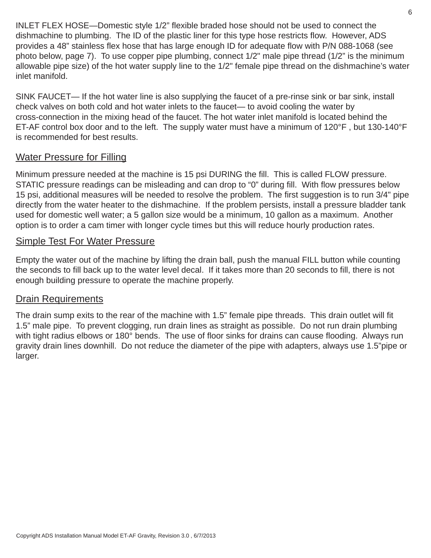INLET FLEX HOSE—Domestic style 1/2" flexible braded hose should not be used to connect the dishmachine to plumbing. The ID of the plastic liner for this type hose restricts flow. However, ADS provides a 48" stainless flex hose that has large enough ID for adequate flow with P/N 088-1068 (see photo below, page 7). To use copper pipe plumbing, connect 1/2" male pipe thread (1/2" is the minimum allowable pipe size) of the hot water supply line to the 1/2" female pipe thread on the dishmachine's water inlet manifold.

SINK FAUCET— If the hot water line is also supplying the faucet of a pre-rinse sink or bar sink, install check valves on both cold and hot water inlets to the faucet— to avoid cooling the water by cross-connection in the mixing head of the faucet. The hot water inlet manifold is located behind the ET-AF control box door and to the left. The supply water must have a minimum of 120°F , but 130-140°F is recommended for best results.

### Water Pressure for Filling

Minimum pressure needed at the machine is 15 psi DURING the fill. This is called FLOW pressure. STATIC pressure readings can be misleading and can drop to "0" during fill. With flow pressures below 15 psi, additional measures will be needed to resolve the problem. The first suggestion is to run 3/4" pipe directly from the water heater to the dishmachine. If the problem persists, install a pressure bladder tank used for domestic well water; a 5 gallon size would be a minimum, 10 gallon as a maximum. Another option is to order a cam timer with longer cycle times but this will reduce hourly production rates.

### Simple Test For Water Pressure

Empty the water out of the machine by lifting the drain ball, push the manual FILL button while counting the seconds to fill back up to the water level decal. If it takes more than 20 seconds to fill, there is not enough building pressure to operate the machine properly.

#### Drain Requirements

The drain sump exits to the rear of the machine with 1.5" female pipe threads. This drain outlet will fit 1.5" male pipe. To prevent clogging, run drain lines as straight as possible. Do not run drain plumbing with tight radius elbows or 180° bends. The use of floor sinks for drains can cause flooding. Always run gravity drain lines downhill. Do not reduce the diameter of the pipe with adapters, always use 1.5"pipe or larger.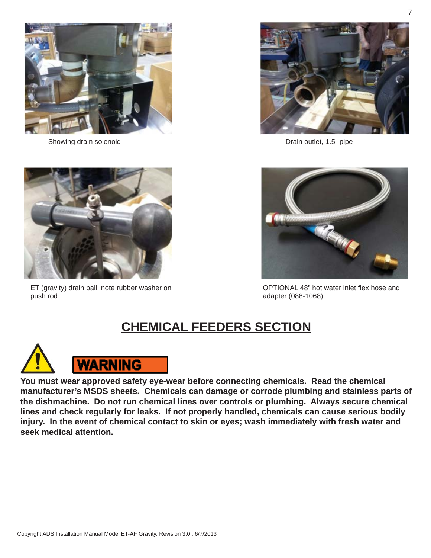

Showing drain solenoid **Drain School and Showing drain solenoid** Drain outlet, 1.5" pipe





ET (gravity) drain ball, note rubber washer on push rod



OPTIONAL 48" hot water inlet flex hose and adapter (088-1068)

# **CHEMICAL FEEDERS SECTION**



**You must wear approved safety eye-wear before connecting chemicals. Read the chemical manufacturer's MSDS sheets. Chemicals can damage or corrode plumbing and stainless parts of the dishmachine. Do not run chemical lines over controls or plumbing. Always secure chemical lines and check regularly for leaks. If not properly handled, chemicals can cause serious bodily injury. In the event of chemical contact to skin or eyes; wash immediately with fresh water and seek medical attention.**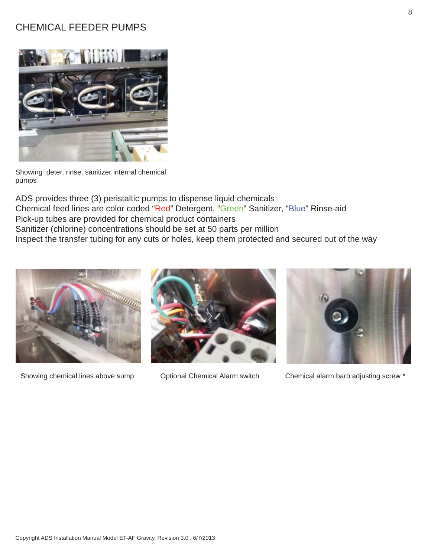### CHEMICAL FEEDER PUMPS



Showing deter, rinse, sanitizer internal chemical pumps

ADS provides three (3) peristaltic pumps to dispense liquid chemicals Chemical feed lines are color coded "Red" Detergent, "Green" Sanitizer, "Blue" Rinse-aid Pick-up tubes are provided for chemical product containers Sanitizer (chlorine) concentrations should be set at 50 parts per million Inspect the transfer tubing for any cuts or holes, keep them protected and secured out of the way







Showing chemical lines above sump Optional Chemical Alarm switch Chemical alarm barb adjusting screw \*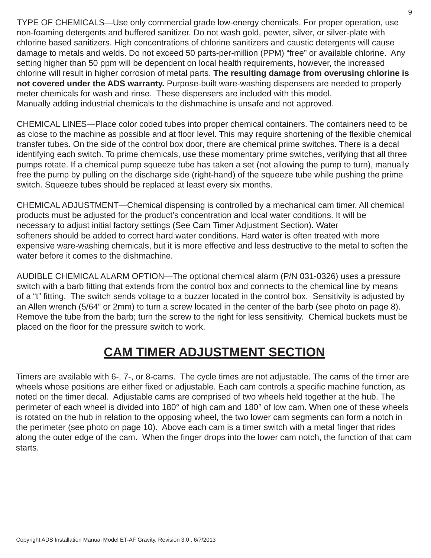TYPE OF CHEMICALS—Use only commercial grade low-energy chemicals. For proper operation, use non-foaming detergents and buffered sanitizer. Do not wash gold, pewter, silver, or silver-plate with chlorine based sanitizers. High concentrations of chlorine sanitizers and caustic detergents will cause damage to metals and welds. Do not exceed 50 parts-per-million (PPM) "free" or available chlorine. Any setting higher than 50 ppm will be dependent on local health requirements, however, the increased chlorine will result in higher corrosion of metal parts. **The resulting damage from overusing chlorine is not covered under the ADS warranty.** Purpose-built ware-washing dispensers are needed to properly meter chemicals for wash and rinse. These dispensers are included with this model. Manually adding industrial chemicals to the dishmachine is unsafe and not approved.

CHEMICAL LINES—Place color coded tubes into proper chemical containers. The containers need to be as close to the machine as possible and at floor level. This may require shortening of the flexible chemical transfer tubes. On the side of the control box door, there are chemical prime switches. There is a decal identifying each switch. To prime chemicals, use these momentary prime switches, verifying that all three pumps rotate. If a chemical pump squeeze tube has taken a set (not allowing the pump to turn), manually free the pump by pulling on the discharge side (right-hand) of the squeeze tube while pushing the prime switch. Squeeze tubes should be replaced at least every six months.

CHEMICAL ADJUSTMENT—Chemical dispensing is controlled by a mechanical cam timer. All chemical products must be adjusted for the product's concentration and local water conditions. It will be necessary to adjust initial factory settings (See Cam Timer Adjustment Section). Water softeners should be added to correct hard water conditions. Hard water is often treated with more expensive ware-washing chemicals, but it is more effective and less destructive to the metal to soften the water before it comes to the dishmachine.

AUDIBLE CHEMICAL ALARM OPTION—The optional chemical alarm (P/N 031-0326) uses a pressure switch with a barb fitting that extends from the control box and connects to the chemical line by means of a "t" fitting. The switch sends voltage to a buzzer located in the control box. Sensitivity is adjusted by an Allen wrench (5/64" or 2mm) to turn a screw located in the center of the barb (see photo on page 8). Remove the tube from the barb; turn the screw to the right for less sensitivity. Chemical buckets must be placed on the floor for the pressure switch to work.

## **CAM TIMER ADJUSTMENT SECTION**

Timers are available with 6-, 7-, or 8-cams. The cycle times are not adjustable. The cams of the timer are wheels whose positions are either fixed or adjustable. Each cam controls a specific machine function, as noted on the timer decal. Adjustable cams are comprised of two wheels held together at the hub. The perimeter of each wheel is divided into 180° of high cam and 180° of low cam. When one of these wheels is rotated on the hub in relation to the opposing wheel, the two lower cam segments can form a notch in the perimeter (see photo on page 10). Above each cam is a timer switch with a metal finger that rides along the outer edge of the cam. When the finger drops into the lower cam notch, the function of that cam starts.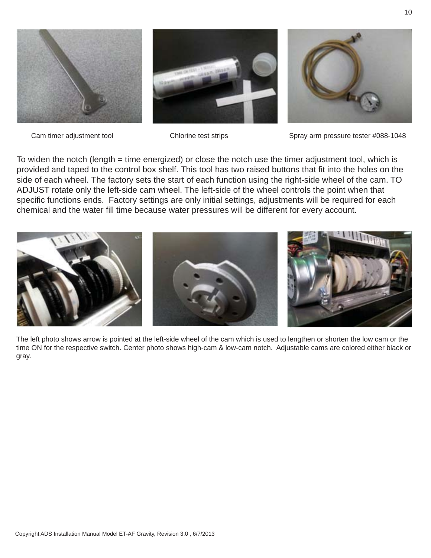

Cam timer adjustment tool Chlorine test strips Spray arm pressure tester #088-1048

To widen the notch (length = time energized) or close the notch use the timer adjustment tool, which is provided and taped to the control box shelf. This tool has two raised buttons that fit into the holes on the side of each wheel. The factory sets the start of each function using the right-side wheel of the cam. TO ADJUST rotate only the left-side cam wheel. The left-side of the wheel controls the point when that specific functions ends. Factory settings are only initial settings, adjustments will be required for each chemical and the water fill time because water pressures will be different for every account.



The left photo shows arrow is pointed at the left-side wheel of the cam which is used to lengthen or shorten the low cam or the time ON for the respective switch. Center photo shows high-cam & low-cam notch. Adjustable cams are colored either black or gray.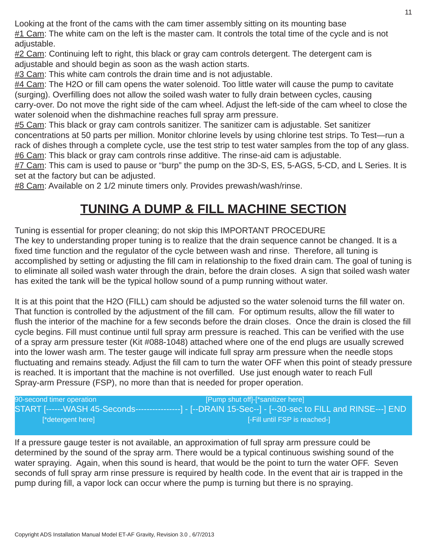Looking at the front of the cams with the cam timer assembly sitting on its mounting base #1 Cam: The white cam on the left is the master cam. It controls the total time of the cycle and is not adjustable.

#2 Cam: Continuing left to right, this black or gray cam controls detergent. The detergent cam is adjustable and should begin as soon as the wash action starts.

#3 Cam: This white cam controls the drain time and is not adjustable.

 $#4$  Cam: The H2O or fill cam opens the water solenoid. Too little water will cause the pump to cavitate (surging). Overfilling does not allow the soiled wash water to fully drain between cycles, causing carry-over. Do not move the right side of the cam wheel. Adjust the left-side of the cam wheel to close the water solenoid when the dishmachine reaches full spray arm pressure.

#5 Cam: This black or gray cam controls sanitizer. The sanitizer cam is adjustable. Set sanitizer concentrations at 50 parts per million. Monitor chlorine levels by using chlorine test strips. To Test—run a rack of dishes through a complete cycle, use the test strip to test water samples from the top of any glass. #6 Cam: This black or gray cam controls rinse additive. The rinse-aid cam is adjustable.

#7 Cam: This cam is used to pause or "burp" the pump on the 3D-S, ES, 5-AGS, 5-CD, and L Series. It is set at the factory but can be adjusted.

#8 Cam: Available on 2 1/2 minute timers only. Provides prewash/wash/rinse.

## **TUNING A DUMP & FILL MACHINE SECTION**

Tuning is essential for proper cleaning; do not skip this IMPORTANT PROCEDURE

The key to understanding proper tuning is to realize that the drain sequence cannot be changed. It is a fixed time function and the regulator of the cycle between wash and rinse. Therefore, all tuning is accomplished by setting or adjusting the fill cam in relationship to the fixed drain cam. The goal of tuning is to eliminate all soiled wash water through the drain, before the drain closes. A sign that soiled wash water has exited the tank will be the typical hollow sound of a pump running without water.

It is at this point that the H2O (FILL) cam should be adjusted so the water solenoid turns the fill water on. That function is controlled by the adjustment of the fill cam. For optimum results, allow the fill water to flush the interior of the machine for a few seconds before the drain closes. Once the drain is closed the fill cycle begins. Fill must continue until full spray arm pressure is reached. This can be verified with the use of a spray arm pressure tester (Kit #088-1048) attached where one of the end plugs are usually screwed into the lower wash arm. The tester gauge will indicate full spray arm pressure when the needle stops fluctuating and remains steady. Adjust the fill cam to turn the water OFF when this point of steady pressure is reached. It is important that the machine is not overfilled. Use just enough water to reach Full Spray-arm Pressure (FSP), no more than that is needed for proper operation.

90-second timer operation **[Pump shut off]-[\*sanitizer here]** [\*detergent here] [-Fill until FSP is reached-]

START [------WASH 45-Seconds----------------] - [--DRAIN 15-Sec--] - [--30-sec to FILL and RINSE---] END

If a pressure gauge tester is not available, an approximation of full spray arm pressure could be determined by the sound of the spray arm. There would be a typical continuous swishing sound of the water spraying. Again, when this sound is heard, that would be the point to turn the water OFF. Seven seconds of full spray arm rinse pressure is required by health code. In the event that air is trapped in the pump during fill, a vapor lock can occur where the pump is turning but there is no spraying.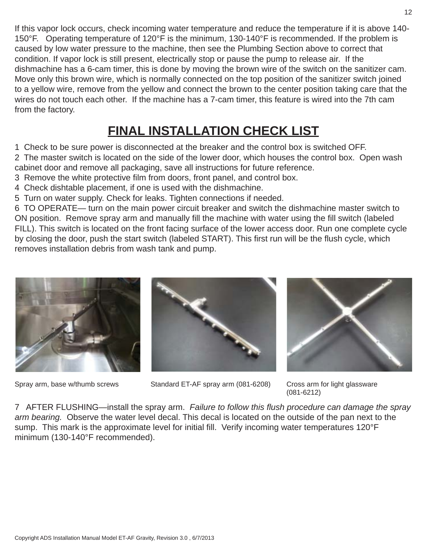If this vapor lock occurs, check incoming water temperature and reduce the temperature if it is above 140- 150°F. Operating temperature of 120°F is the minimum, 130-140°F is recommended. If the problem is caused by low water pressure to the machine, then see the Plumbing Section above to correct that condition. If vapor lock is still present, electrically stop or pause the pump to release air. If the dishmachine has a 6-cam timer, this is done by moving the brown wire of the switch on the sanitizer cam. Move only this brown wire, which is normally connected on the top position of the sanitizer switch joined to a yellow wire, remove from the yellow and connect the brown to the center position taking care that the wires do not touch each other. If the machine has a 7-cam timer, this feature is wired into the 7th cam from the factory.

## **FINAL INSTALLATION CHECK LIST**

1 Check to be sure power is disconnected at the breaker and the control box is switched OFF.

2 The master switch is located on the side of the lower door, which houses the control box. Open wash cabinet door and remove all packaging, save all instructions for future reference.

3 Remove the white protective film from doors, front panel, and control box.

4 Check dishtable placement, if one is used with the dishmachine.

5 Turn on water supply. Check for leaks. Tighten connections if needed.

6 TO OPERATE— turn on the main power circuit breaker and switch the dishmachine master switch to ON position. Remove spray arm and manually fill the machine with water using the fill switch (labeled FILL). This switch is located on the front facing surface of the lower access door. Run one complete cycle by closing the door, push the start switch (labeled START). This first run will be the flush cycle, which removes installation debris from wash tank and pump.





Spray arm, base w/thumb screws Standard ET-AF spray arm (081-6208) Cross arm for light glassware



(081-6212)

7 AFTER FLUSHING—install the spray arm. *Failure to follow this fl ush procedure can damage the spray arm bearing.* Observe the water level decal. This decal is located on the outside of the pan next to the sump. This mark is the approximate level for initial fill. Verify incoming water temperatures 120°F minimum (130-140°F recommended).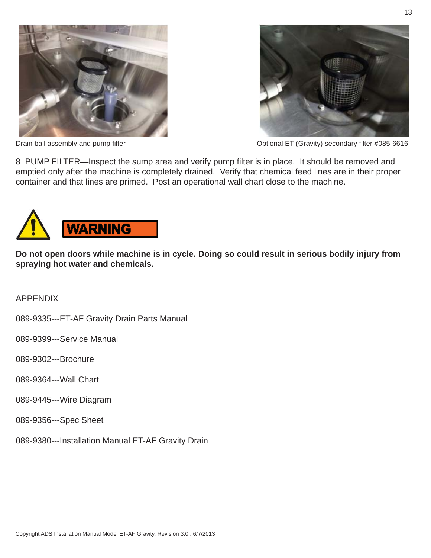



Drain ball assembly and pump filter **Dramage Community** Coptional ET (Gravity) secondary filter #085-6616

8 PUMP FILTER—Inspect the sump area and verify pump filter is in place. It should be removed and emptied only after the machine is completely drained. Verify that chemical feed lines are in their proper container and that lines are primed. Post an operational wall chart close to the machine.



**Do not open doors while machine is in cycle. Doing so could result in serious bodily injury from spraying hot water and chemicals.**

APPENDIX

089-9335---ET-AF Gravity Drain Parts Manual

089-9399---Service Manual

089-9302---Brochure

- 089-9364---Wall Chart
- 089-9445---Wire Diagram

089-9356---Spec Sheet

089-9380---Installation Manual ET-AF Gravity Drain